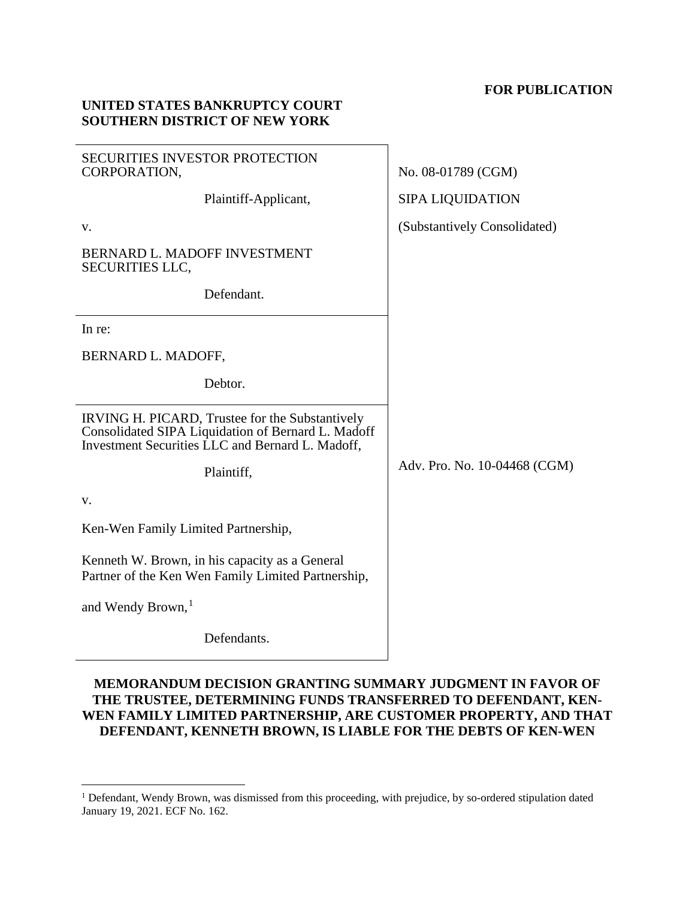## **FOR PUBLICATION**

| SECURITIES INVESTOR PROTECTION<br>CORPORATION,                                                                                                            | No. 08-01789 (CGM)           |
|-----------------------------------------------------------------------------------------------------------------------------------------------------------|------------------------------|
| Plaintiff-Applicant,                                                                                                                                      | <b>SIPA LIQUIDATION</b>      |
| V.                                                                                                                                                        | (Substantively Consolidated) |
| BERNARD L. MADOFF INVESTMENT<br><b>SECURITIES LLC,</b>                                                                                                    |                              |
| Defendant.                                                                                                                                                |                              |
| In re:                                                                                                                                                    |                              |
| BERNARD L. MADOFF,                                                                                                                                        |                              |
| Debtor.                                                                                                                                                   |                              |
| IRVING H. PICARD, Trustee for the Substantively<br>Consolidated SIPA Liquidation of Bernard L. Madoff<br>Investment Securities LLC and Bernard L. Madoff, |                              |
| Plaintiff,                                                                                                                                                | Adv. Pro. No. 10-04468 (CGM) |
| V.                                                                                                                                                        |                              |
| Ken-Wen Family Limited Partnership,                                                                                                                       |                              |
| Kenneth W. Brown, in his capacity as a General<br>Partner of the Ken Wen Family Limited Partnership,                                                      |                              |
| and Wendy Brown, <sup>1</sup>                                                                                                                             |                              |
| Defendants.                                                                                                                                               |                              |

**UNITED STATES BANKRUPTCY COURT SOUTHERN DISTRICT OF NEW YORK**

## **MEMORANDUM DECISION GRANTING SUMMARY JUDGMENT IN FAVOR OF THE TRUSTEE, DETERMINING FUNDS TRANSFERRED TO DEFENDANT, KEN-WEN FAMILY LIMITED PARTNERSHIP, ARE CUSTOMER PROPERTY, AND THAT DEFENDANT, KENNETH BROWN, IS LIABLE FOR THE DEBTS OF KEN-WEN**

<span id="page-0-0"></span><sup>&</sup>lt;sup>1</sup> Defendant, Wendy Brown, was dismissed from this proceeding, with prejudice, by so-ordered stipulation dated January 19, 2021. ECF No. 162.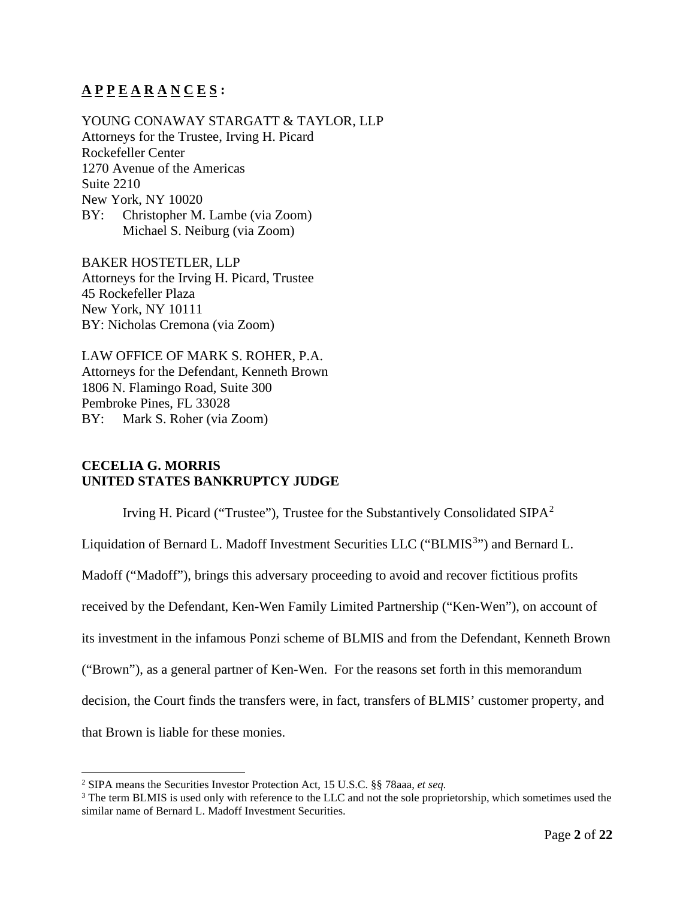# **A P P E A R A N C E S :**

YOUNG CONAWAY STARGATT & TAYLOR, LLP Attorneys for the Trustee, Irving H. Picard Rockefeller Center 1270 Avenue of the Americas Suite 2210 New York, NY 10020 BY: Christopher M. Lambe (via Zoom) Michael S. Neiburg (via Zoom)

BAKER HOSTETLER, LLP Attorneys for the Irving H. Picard, Trustee 45 Rockefeller Plaza New York, NY 10111 BY: Nicholas Cremona (via Zoom)

LAW OFFICE OF MARK S. ROHER, P.A. Attorneys for the Defendant, Kenneth Brown 1806 N. Flamingo Road, Suite 300 Pembroke Pines, FL 33028 BY: Mark S. Roher (via Zoom)

## **CECELIA G. MORRIS UNITED STATES BANKRUPTCY JUDGE**

Irving H. Picard ("Trustee"), Trustee for the Substantively Consolidated  $SIPA<sup>2</sup>$  $SIPA<sup>2</sup>$  $SIPA<sup>2</sup>$ 

Liquidation of Bernard L. Madoff Investment Securities LLC ("BLMIS<sup>[3](#page-1-1)</sup>") and Bernard L.

Madoff ("Madoff"), brings this adversary proceeding to avoid and recover fictitious profits

received by the Defendant, Ken-Wen Family Limited Partnership ("Ken-Wen"), on account of

its investment in the infamous Ponzi scheme of BLMIS and from the Defendant, Kenneth Brown

("Brown"), as a general partner of Ken-Wen. For the reasons set forth in this memorandum

decision, the Court finds the transfers were, in fact, transfers of BLMIS' customer property, and

that Brown is liable for these monies.

<span id="page-1-0"></span><sup>2</sup> SIPA means the Securities Investor Protection Act, 15 U.S.C. §§ 78aaa, *et seq.*

<span id="page-1-1"></span><sup>&</sup>lt;sup>3</sup> The term BLMIS is used only with reference to the LLC and not the sole proprietorship, which sometimes used the similar name of Bernard L. Madoff Investment Securities.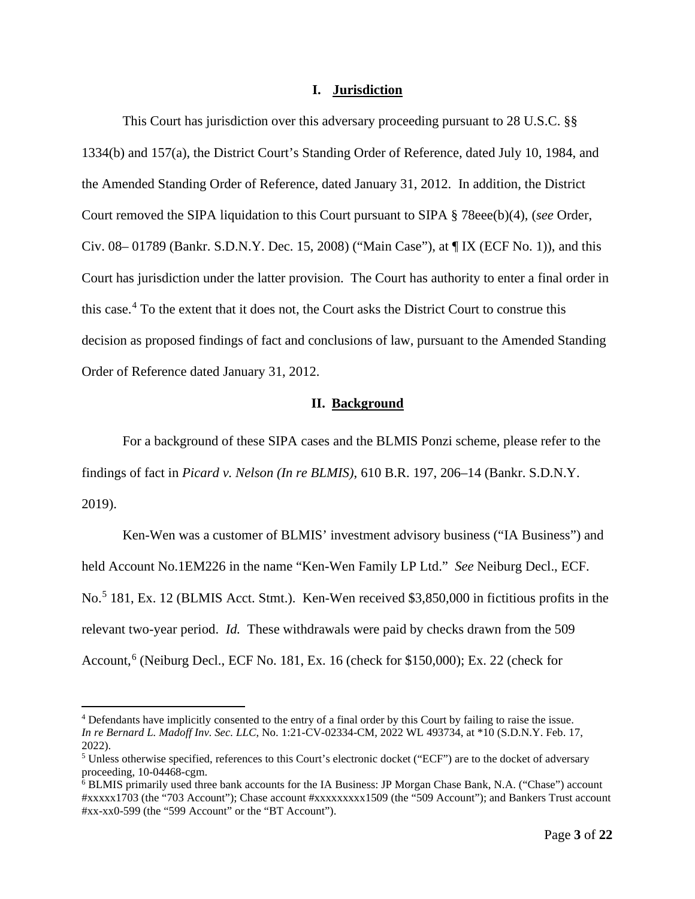#### **I. Jurisdiction**

This Court has jurisdiction over this adversary proceeding pursuant to 28 U.S.C. §§ 1334(b) and 157(a), the District Court's Standing Order of Reference, dated July 10, 1984, and the Amended Standing Order of Reference, dated January 31, 2012. In addition, the District Court removed the SIPA liquidation to this Court pursuant to SIPA § 78eee(b)(4), (*see* Order, Civ. 08– 01789 (Bankr. S.D.N.Y. Dec. 15, 2008) ("Main Case"), at ¶ IX (ECF No. 1)), and this Court has jurisdiction under the latter provision. The Court has authority to enter a final order in this case. [4](#page-2-0) To the extent that it does not, the Court asks the District Court to construe this decision as proposed findings of fact and conclusions of law, pursuant to the Amended Standing Order of Reference dated January 31, 2012.

#### **II. Background**

For a background of these SIPA cases and the BLMIS Ponzi scheme, please refer to the findings of fact in *Picard v. Nelson (In re BLMIS)*, 610 B.R. 197, 206–14 (Bankr. S.D.N.Y. 2019).

Ken-Wen was a customer of BLMIS' investment advisory business ("IA Business") and held Account No.1EM226 in the name "Ken-Wen Family LP Ltd." *See* Neiburg Decl., ECF. No.<sup>[5](#page-2-1)</sup> 181, Ex. 12 (BLMIS Acct. Stmt.). Ken-Wen received \$3,850,000 in fictitious profits in the relevant two-year period. *Id.* These withdrawals were paid by checks drawn from the 509 Account, [6](#page-2-2) (Neiburg Decl., ECF No. 181, Ex. 16 (check for \$150,000); Ex. 22 (check for

<span id="page-2-0"></span><sup>4</sup> Defendants have implicitly consented to the entry of a final order by this Court by failing to raise the issue. *In re Bernard L. Madoff Inv. Sec. LLC*, No. 1:21-CV-02334-CM, 2022 WL 493734, at \*10 (S.D.N.Y. Feb. 17, 2022).

<span id="page-2-1"></span><sup>&</sup>lt;sup>5</sup> Unless otherwise specified, references to this Court's electronic docket ("ECF") are to the docket of adversary proceeding, 10-04468-cgm.<br><sup>6</sup> BLMIS primarily used three bank accounts for the IA Business: JP Morgan Chase Bank, N.A. ("Chase") account

<span id="page-2-2"></span><sup>#</sup>xxxxx1703 (the "703 Account"); Chase account #xxxxxxxxx1509 (the "509 Account"); and Bankers Trust account #xx-xx0-599 (the "599 Account" or the "BT Account").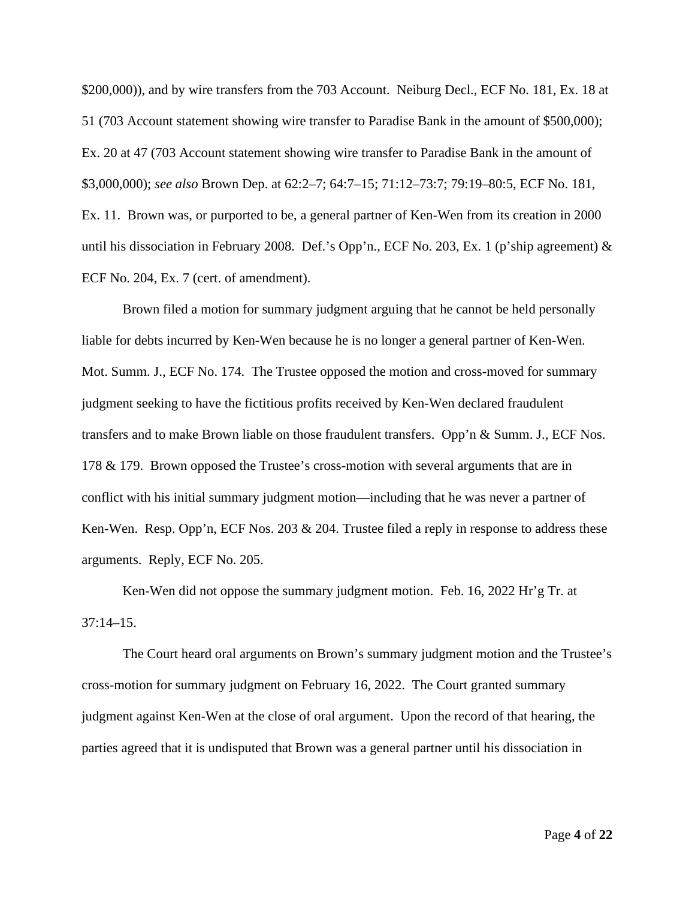\$200,000)), and by wire transfers from the 703 Account. Neiburg Decl., ECF No. 181, Ex. 18 at 51 (703 Account statement showing wire transfer to Paradise Bank in the amount of \$500,000); Ex. 20 at 47 (703 Account statement showing wire transfer to Paradise Bank in the amount of \$3,000,000); *see also* Brown Dep. at 62:2–7; 64:7–15; 71:12–73:7; 79:19–80:5, ECF No. 181, Ex. 11. Brown was, or purported to be, a general partner of Ken-Wen from its creation in 2000 until his dissociation in February 2008. Def.'s Opp'n., ECF No. 203, Ex. 1 (p'ship agreement) & ECF No. 204, Ex. 7 (cert. of amendment).

Brown filed a motion for summary judgment arguing that he cannot be held personally liable for debts incurred by Ken-Wen because he is no longer a general partner of Ken-Wen. Mot. Summ. J., ECF No. 174. The Trustee opposed the motion and cross-moved for summary judgment seeking to have the fictitious profits received by Ken-Wen declared fraudulent transfers and to make Brown liable on those fraudulent transfers. Opp'n & Summ. J., ECF Nos. 178 & 179. Brown opposed the Trustee's cross-motion with several arguments that are in conflict with his initial summary judgment motion—including that he was never a partner of Ken-Wen. Resp. Opp'n, ECF Nos. 203 & 204. Trustee filed a reply in response to address these arguments. Reply, ECF No. 205.

Ken-Wen did not oppose the summary judgment motion. Feb. 16, 2022 Hr'g Tr. at  $37:14-15$ .

The Court heard oral arguments on Brown's summary judgment motion and the Trustee's cross-motion for summary judgment on February 16, 2022. The Court granted summary judgment against Ken-Wen at the close of oral argument. Upon the record of that hearing, the parties agreed that it is undisputed that Brown was a general partner until his dissociation in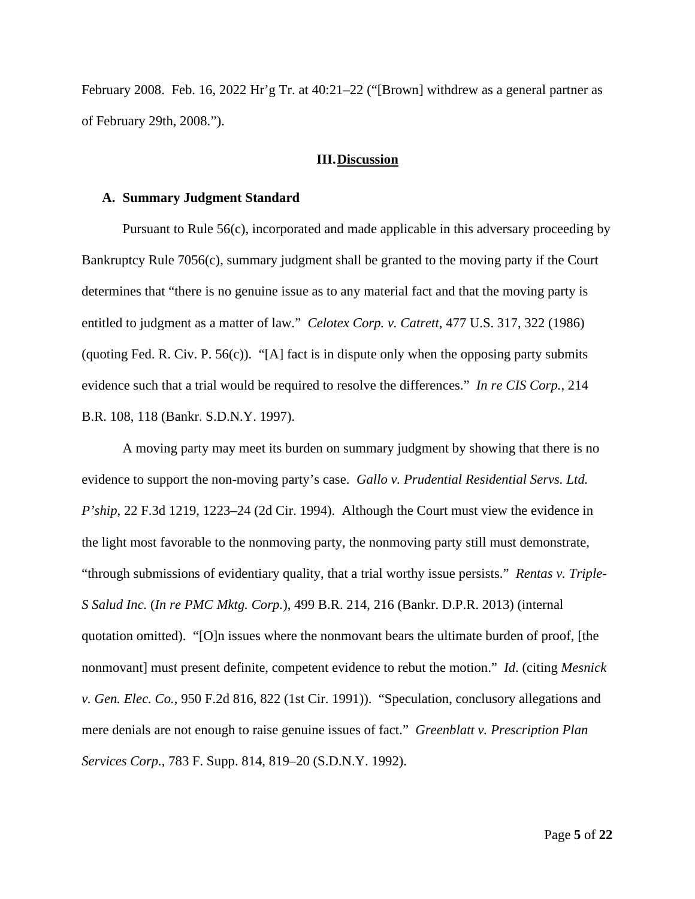February 2008. Feb. 16, 2022 Hr'g Tr. at 40:21–22 ("[Brown] withdrew as a general partner as of February 29th, 2008.").

#### **III.Discussion**

#### **A. Summary Judgment Standard**

Pursuant to Rule 56(c), incorporated and made applicable in this adversary proceeding by Bankruptcy Rule 7056(c), summary judgment shall be granted to the moving party if the Court determines that "there is no genuine issue as to any material fact and that the moving party is entitled to judgment as a matter of law." *Celotex Corp. v. Catrett*, 477 U.S. 317, 322 (1986) (quoting Fed. R. Civ. P.  $56(c)$ ). "[A] fact is in dispute only when the opposing party submits evidence such that a trial would be required to resolve the differences." *In re CIS Corp.*, 214 B.R. 108, 118 (Bankr. S.D.N.Y. 1997).

A moving party may meet its burden on summary judgment by showing that there is no evidence to support the non-moving party's case. *Gallo v. Prudential Residential Servs. Ltd. P'ship*, 22 F.3d 1219, 1223–24 (2d Cir. 1994). Although the Court must view the evidence in the light most favorable to the nonmoving party, the nonmoving party still must demonstrate, "through submissions of evidentiary quality, that a trial worthy issue persists." *Rentas v. Triple-S Salud Inc.* (*In re PMC Mktg. Corp.*), 499 B.R. 214, 216 (Bankr. D.P.R. 2013) (internal quotation omitted). "[O]n issues where the nonmovant bears the ultimate burden of proof, [the nonmovant] must present definite, competent evidence to rebut the motion." *Id*. (citing *Mesnick v. Gen. Elec. Co.*, 950 F.2d 816, 822 (1st Cir. 1991)). "Speculation, conclusory allegations and mere denials are not enough to raise genuine issues of fact." *Greenblatt v. Prescription Plan Services Corp.*, 783 F. Supp. 814, 819–20 (S.D.N.Y. 1992).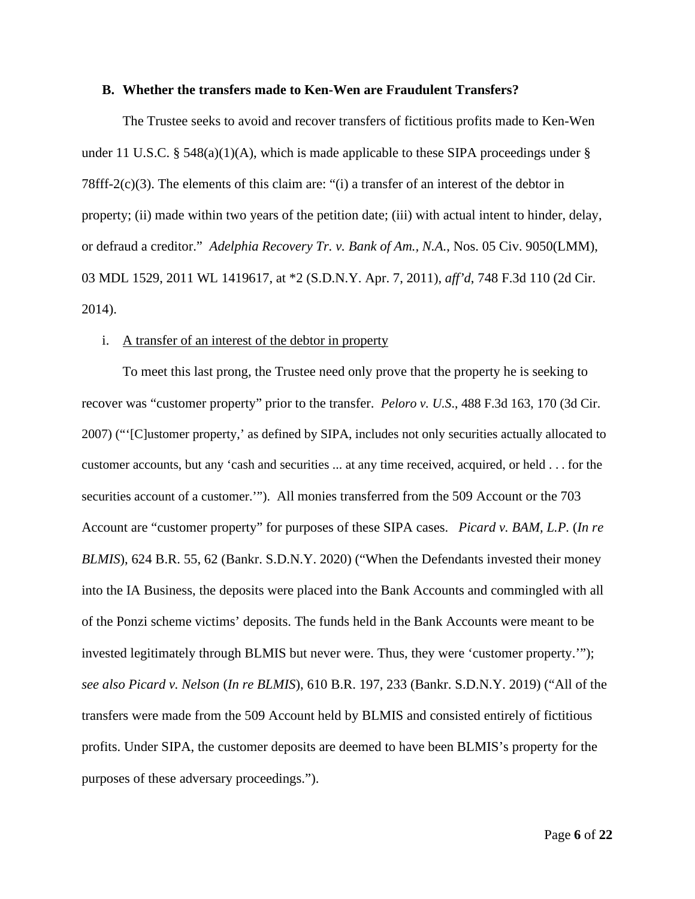#### **B. Whether the transfers made to Ken-Wen are Fraudulent Transfers?**

The Trustee seeks to avoid and recover transfers of fictitious profits made to Ken-Wen under 11 U.S.C. § 548(a)(1)(A), which is made applicable to these SIPA proceedings under § 78fff-2(c)(3). The elements of this claim are: "(i) a transfer of an interest of the debtor in property; (ii) made within two years of the petition date; (iii) with actual intent to hinder, delay, or defraud a creditor." *Adelphia Recovery Tr. v. Bank of Am., N.A.*, Nos. 05 Civ. 9050(LMM), 03 MDL 1529, 2011 WL 1419617, at \*2 (S.D.N.Y. Apr. 7, 2011), *aff'd*, 748 F.3d 110 (2d Cir. 2014).

#### i. A transfer of an interest of the debtor in property

To meet this last prong, the Trustee need only prove that the property he is seeking to recover was "customer property" prior to the transfer. *Peloro v. U.S*., 488 F.3d 163, 170 (3d Cir. 2007) ("'[C]ustomer property,' as defined by SIPA, includes not only securities actually allocated to customer accounts, but any 'cash and securities ... at any time received, acquired, or held . . . for the securities account of a customer.'"). All monies transferred from the 509 Account or the 703 Account are "customer property" for purposes of these SIPA cases. *Picard v. BAM, L.P.* (*In re BLMIS*), 624 B.R. 55, 62 (Bankr. S.D.N.Y. 2020) ("When the Defendants invested their money into the IA Business, the deposits were placed into the Bank Accounts and commingled with all of the Ponzi scheme victims' deposits. The funds held in the Bank Accounts were meant to be invested legitimately through BLMIS but never were. Thus, they were 'customer property.'"); *see also Picard v. Nelson* (*In re BLMIS*), 610 B.R. 197, 233 (Bankr. S.D.N.Y. 2019) ("All of the transfers were made from the 509 Account held by BLMIS and consisted entirely of fictitious profits. Under SIPA, the customer deposits are deemed to have been BLMIS's property for the purposes of these adversary proceedings.").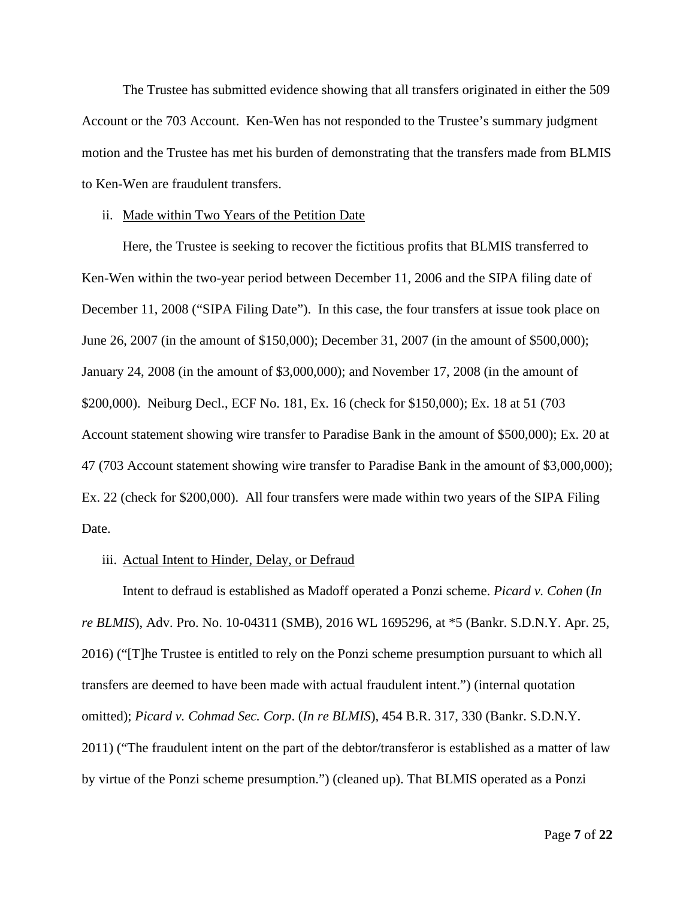The Trustee has submitted evidence showing that all transfers originated in either the 509 Account or the 703 Account. Ken-Wen has not responded to the Trustee's summary judgment motion and the Trustee has met his burden of demonstrating that the transfers made from BLMIS to Ken-Wen are fraudulent transfers.

#### ii. Made within Two Years of the Petition Date

Here, the Trustee is seeking to recover the fictitious profits that BLMIS transferred to Ken-Wen within the two-year period between December 11, 2006 and the SIPA filing date of December 11, 2008 ("SIPA Filing Date"). In this case, the four transfers at issue took place on June 26, 2007 (in the amount of \$150,000); December 31, 2007 (in the amount of \$500,000); January 24, 2008 (in the amount of \$3,000,000); and November 17, 2008 (in the amount of \$200,000). Neiburg Decl., ECF No. 181, Ex. 16 (check for \$150,000); Ex. 18 at 51 (703 Account statement showing wire transfer to Paradise Bank in the amount of \$500,000); Ex. 20 at 47 (703 Account statement showing wire transfer to Paradise Bank in the amount of \$3,000,000); Ex. 22 (check for \$200,000). All four transfers were made within two years of the SIPA Filing Date.

#### iii. Actual Intent to Hinder, Delay, or Defraud

Intent to defraud is established as Madoff operated a Ponzi scheme. *Picard v. Cohen* (*In re BLMIS*), Adv. Pro. No. 10-04311 (SMB), 2016 WL 1695296, at \*5 (Bankr. S.D.N.Y. Apr. 25, 2016) ("[T]he Trustee is entitled to rely on the Ponzi scheme presumption pursuant to which all transfers are deemed to have been made with actual fraudulent intent.") (internal quotation omitted); *Picard v. Cohmad Sec. Corp*. (*In re BLMIS*), 454 B.R. 317, 330 (Bankr. S.D.N.Y. 2011) ("The fraudulent intent on the part of the debtor/transferor is established as a matter of law by virtue of the Ponzi scheme presumption.") (cleaned up). That BLMIS operated as a Ponzi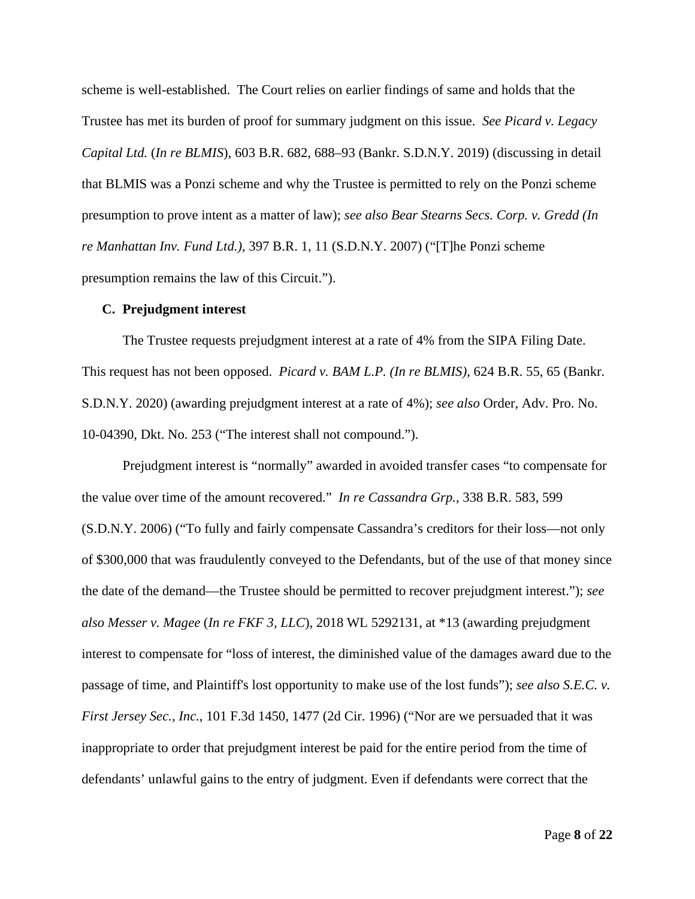scheme is well-established. The Court relies on earlier findings of same and holds that the Trustee has met its burden of proof for summary judgment on this issue. *See Picard v. Legacy Capital Ltd.* (*In re BLMIS*), 603 B.R. 682, 688–93 (Bankr. S.D.N.Y. 2019) (discussing in detail that BLMIS was a Ponzi scheme and why the Trustee is permitted to rely on the Ponzi scheme presumption to prove intent as a matter of law); *see also Bear Stearns Secs. Corp. v. Gredd (In re Manhattan Inv. Fund Ltd.)*, 397 B.R. 1, 11 (S.D.N.Y. 2007) ("[T]he Ponzi scheme presumption remains the law of this Circuit.").

#### **C. Prejudgment interest**

The Trustee requests prejudgment interest at a rate of 4% from the SIPA Filing Date. This request has not been opposed. *Picard v. BAM L.P. (In re BLMIS)*, 624 B.R. 55, 65 (Bankr. S.D.N.Y. 2020) (awarding prejudgment interest at a rate of 4%); *see also* Order, Adv. Pro. No. 10-04390, Dkt. No. 253 ("The interest shall not compound.").

Prejudgment interest is "normally" awarded in avoided transfer cases "to compensate for the value over time of the amount recovered." *In re Cassandra Grp.*, 338 B.R. 583, 599 (S.D.N.Y. 2006) ("To fully and fairly compensate Cassandra's creditors for their loss—not only of \$300,000 that was fraudulently conveyed to the Defendants, but of the use of that money since the date of the demand—the Trustee should be permitted to recover prejudgment interest."); *see also Messer v. Magee* (*In re FKF 3, LLC*), 2018 WL 5292131, at \*13 (awarding prejudgment interest to compensate for "loss of interest, the diminished value of the damages award due to the passage of time, and Plaintiff's lost opportunity to make use of the lost funds"); *see also S.E.C. v. First Jersey Sec., Inc.*, 101 F.3d 1450, 1477 (2d Cir. 1996) ("Nor are we persuaded that it was inappropriate to order that prejudgment interest be paid for the entire period from the time of defendants' unlawful gains to the entry of judgment. Even if defendants were correct that the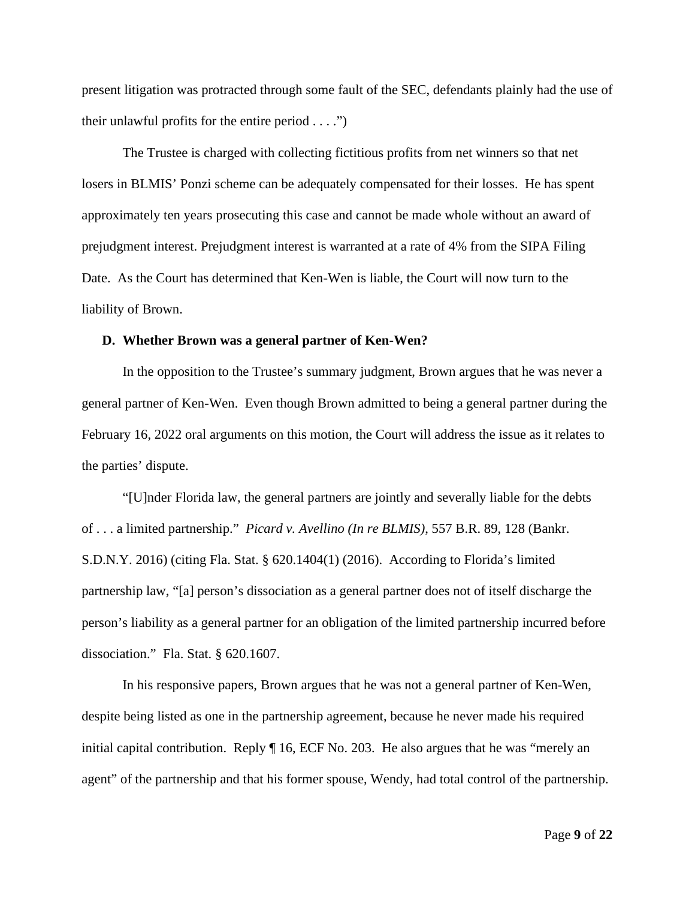present litigation was protracted through some fault of the SEC, defendants plainly had the use of their unlawful profits for the entire period  $\dots$ .")

The Trustee is charged with collecting fictitious profits from net winners so that net losers in BLMIS' Ponzi scheme can be adequately compensated for their losses. He has spent approximately ten years prosecuting this case and cannot be made whole without an award of prejudgment interest. Prejudgment interest is warranted at a rate of 4% from the SIPA Filing Date. As the Court has determined that Ken-Wen is liable, the Court will now turn to the liability of Brown.

#### **D. Whether Brown was a general partner of Ken-Wen?**

In the opposition to the Trustee's summary judgment, Brown argues that he was never a general partner of Ken-Wen. Even though Brown admitted to being a general partner during the February 16, 2022 oral arguments on this motion, the Court will address the issue as it relates to the parties' dispute.

"[U]nder Florida law, the general partners are jointly and severally liable for the debts of . . . a limited partnership." *Picard v. Avellino (In re BLMIS)*, 557 B.R. 89, 128 (Bankr. S.D.N.Y. 2016) (citing Fla. Stat. § 620.1404(1) (2016). According to Florida's limited partnership law, "[a] person's dissociation as a general partner does not of itself discharge the person's liability as a general partner for an obligation of the limited partnership incurred before dissociation." Fla. Stat. § 620.1607.

In his responsive papers, Brown argues that he was not a general partner of Ken-Wen, despite being listed as one in the partnership agreement, because he never made his required initial capital contribution. Reply ¶ 16, ECF No. 203. He also argues that he was "merely an agent" of the partnership and that his former spouse, Wendy, had total control of the partnership.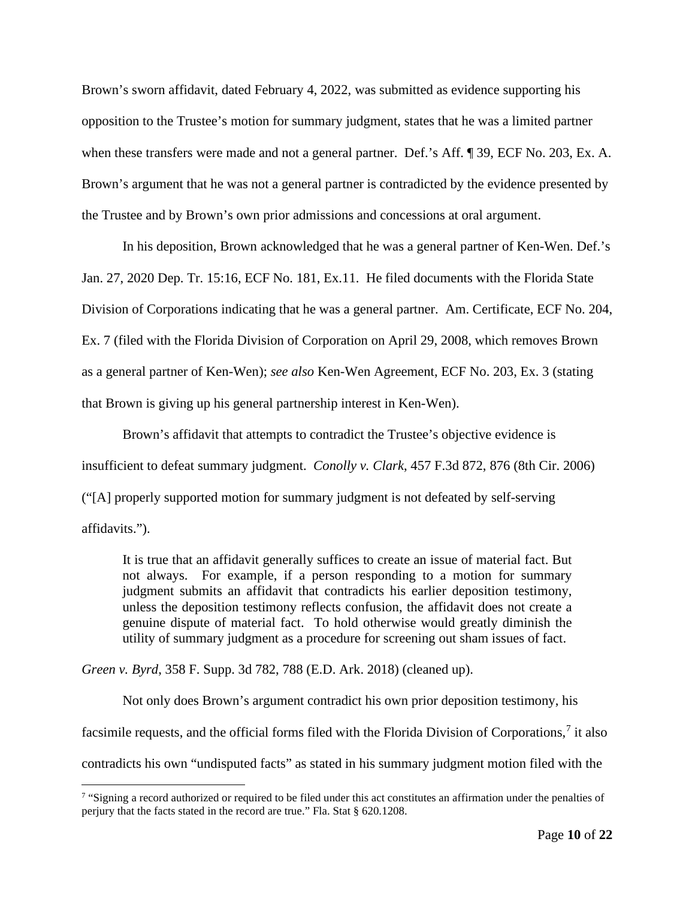Brown's sworn affidavit, dated February 4, 2022, was submitted as evidence supporting his opposition to the Trustee's motion for summary judgment, states that he was a limited partner when these transfers were made and not a general partner. Def.'s Aff. ¶ 39, ECF No. 203, Ex. A. Brown's argument that he was not a general partner is contradicted by the evidence presented by the Trustee and by Brown's own prior admissions and concessions at oral argument.

In his deposition, Brown acknowledged that he was a general partner of Ken-Wen. Def.'s Jan. 27, 2020 Dep. Tr. 15:16, ECF No. 181, Ex.11. He filed documents with the Florida State Division of Corporations indicating that he was a general partner. Am. Certificate, ECF No. 204, Ex. 7 (filed with the Florida Division of Corporation on April 29, 2008, which removes Brown as a general partner of Ken-Wen); *see also* Ken-Wen Agreement, ECF No. 203, Ex. 3 (stating that Brown is giving up his general partnership interest in Ken-Wen).

Brown's affidavit that attempts to contradict the Trustee's objective evidence is insufficient to defeat summary judgment. *Conolly v. Clark*, 457 F.3d 872, 876 (8th Cir. 2006) ("[A] properly supported motion for summary judgment is not defeated by self-serving affidavits.").

It is true that an affidavit generally suffices to create an issue of material fact. But not always. For example, if a person responding to a motion for summary judgment submits an affidavit that contradicts his earlier deposition testimony, unless the deposition testimony reflects confusion, the affidavit does not create a genuine dispute of material fact. To hold otherwise would greatly diminish the utility of summary judgment as a procedure for screening out sham issues of fact.

*Green v. Byrd*, 358 F. Supp. 3d 782, 788 (E.D. Ark. 2018) (cleaned up).

Not only does Brown's argument contradict his own prior deposition testimony, his facsimile requests, and the official forms filed with the Florida Division of Corporations,<sup>[7](#page-9-0)</sup> it also contradicts his own "undisputed facts" as stated in his summary judgment motion filed with the

<span id="page-9-0"></span><sup>&</sup>lt;sup>7</sup> "Signing a record authorized or required to be filed under this act constitutes an affirmation under the penalties of perjury that the facts stated in the record are true." Fla. Stat § 620.1208.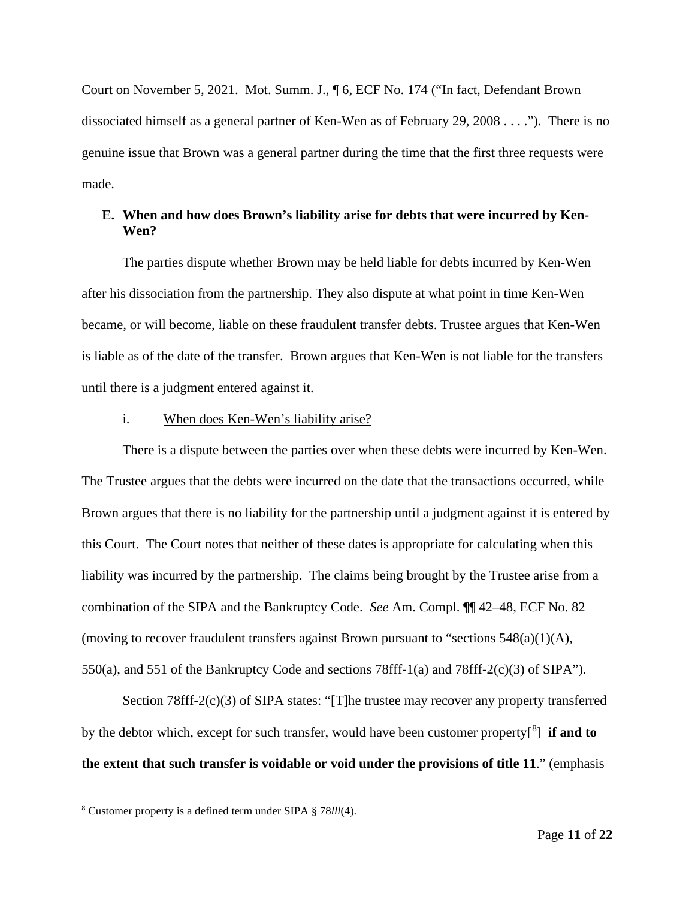Court on November 5, 2021. Mot. Summ. J., ¶ 6, ECF No. 174 ("In fact, Defendant Brown dissociated himself as a general partner of Ken-Wen as of February 29, 2008 . . . ."). There is no genuine issue that Brown was a general partner during the time that the first three requests were made.

## **E. When and how does Brown's liability arise for debts that were incurred by Ken-Wen?**

The parties dispute whether Brown may be held liable for debts incurred by Ken-Wen after his dissociation from the partnership. They also dispute at what point in time Ken-Wen became, or will become, liable on these fraudulent transfer debts. Trustee argues that Ken-Wen is liable as of the date of the transfer. Brown argues that Ken-Wen is not liable for the transfers until there is a judgment entered against it.

## i. When does Ken-Wen's liability arise?

There is a dispute between the parties over when these debts were incurred by Ken-Wen. The Trustee argues that the debts were incurred on the date that the transactions occurred, while Brown argues that there is no liability for the partnership until a judgment against it is entered by this Court. The Court notes that neither of these dates is appropriate for calculating when this liability was incurred by the partnership. The claims being brought by the Trustee arise from a combination of the SIPA and the Bankruptcy Code. *See* Am. Compl. ¶¶ 42–48, ECF No. 82 (moving to recover fraudulent transfers against Brown pursuant to "sections  $548(a)(1)(A)$ , 550(a), and 551 of the Bankruptcy Code and sections 78fff-1(a) and 78fff-2(c)(3) of SIPA").

Section 78fff-2(c)(3) of SIPA states: "[T]he trustee may recover any property transferred by the debtor which, except for such transfer, would have been customer property[[8](#page-10-0) ] **if and to the extent that such transfer is voidable or void under the provisions of title 11**." (emphasis

<span id="page-10-0"></span><sup>8</sup> Customer property is a defined term under SIPA § 78*lll*(4).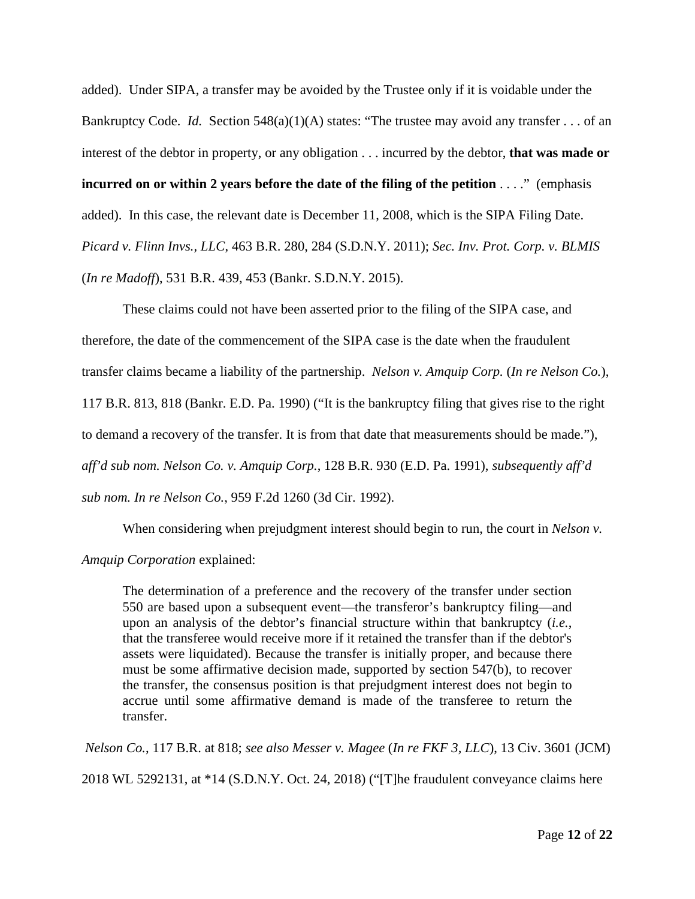added). Under SIPA, a transfer may be avoided by the Trustee only if it is voidable under the Bankruptcy Code. *Id.* Section  $548(a)(1)(A)$  states: "The trustee may avoid any transfer . . . of an interest of the debtor in property, or any obligation . . . incurred by the debtor, **that was made or incurred on or within 2 years before the date of the filing of the petition** . . . ." (emphasis added). In this case, the relevant date is December 11, 2008, which is the SIPA Filing Date. *Picard v. Flinn Invs., LLC*, 463 B.R. 280, 284 (S.D.N.Y. 2011); *Sec. Inv. Prot. Corp. v. BLMIS*  (*In re Madoff*), 531 B.R. 439, 453 (Bankr. S.D.N.Y. 2015).

These claims could not have been asserted prior to the filing of the SIPA case, and therefore, the date of the commencement of the SIPA case is the date when the fraudulent transfer claims became a liability of the partnership. *Nelson v. Amquip Corp.* (*In re Nelson Co.*), 117 B.R. 813, 818 (Bankr. E.D. Pa. 1990) ("It is the bankruptcy filing that gives rise to the right to demand a recovery of the transfer. It is from that date that measurements should be made."), *aff'd sub nom. Nelson Co. v. Amquip Corp.*, 128 B.R. 930 (E.D. Pa. 1991), *subsequently aff'd sub nom. In re Nelson Co.*, 959 F.2d 1260 (3d Cir. 1992).

When considering when prejudgment interest should begin to run, the court in *Nelson v*. *Amquip Corporation* explained:

The determination of a preference and the recovery of the transfer under section 550 are based upon a subsequent event—the transferor's bankruptcy filing—and upon an analysis of the debtor's financial structure within that bankruptcy (*i.e.*, that the transferee would receive more if it retained the transfer than if the debtor's assets were liquidated). Because the transfer is initially proper, and because there must be some affirmative decision made, supported by section 547(b), to recover the transfer, the consensus position is that prejudgment interest does not begin to accrue until some affirmative demand is made of the transferee to return the transfer.

*Nelson Co.*, 117 B.R. at 818; *see also Messer v. Magee* (*In re FKF 3, LLC*), 13 Civ. 3601 (JCM) 2018 WL 5292131, at \*14 (S.D.N.Y. Oct. 24, 2018) ("[T]he fraudulent conveyance claims here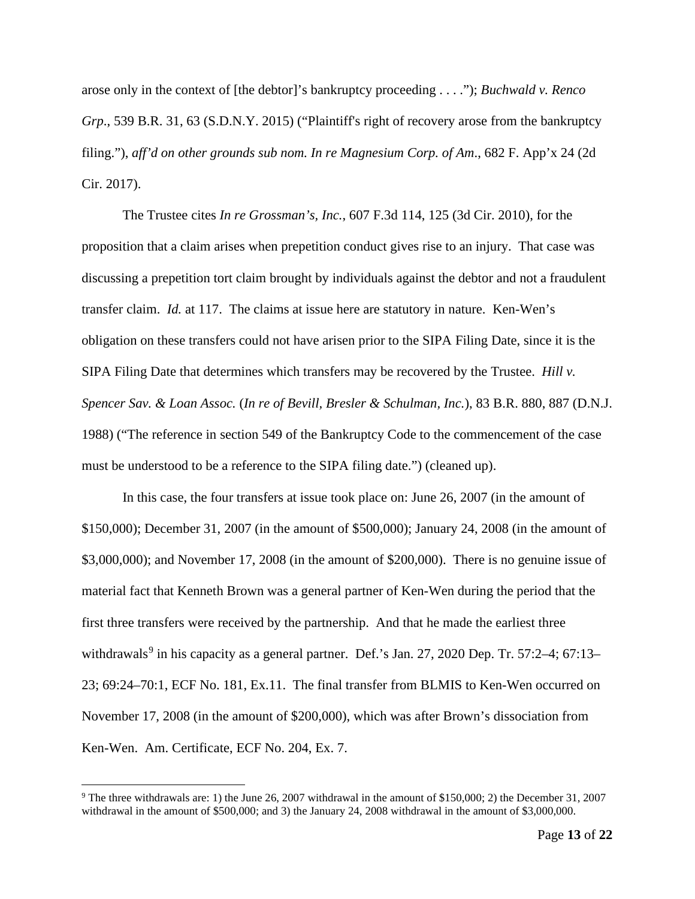arose only in the context of [the debtor]'s bankruptcy proceeding . . . ."); *Buchwald v. Renco Grp*., 539 B.R. 31, 63 (S.D.N.Y. 2015) ("Plaintiff's right of recovery arose from the bankruptcy filing."), *aff'd on other grounds sub nom. In re Magnesium Corp. of Am*., 682 F. App'x 24 (2d Cir. 2017).

The Trustee cites *In re Grossman's, Inc.*, 607 F.3d 114, 125 (3d Cir. 2010), for the proposition that a claim arises when prepetition conduct gives rise to an injury. That case was discussing a prepetition tort claim brought by individuals against the debtor and not a fraudulent transfer claim. *Id.* at 117. The claims at issue here are statutory in nature. Ken-Wen's obligation on these transfers could not have arisen prior to the SIPA Filing Date, since it is the SIPA Filing Date that determines which transfers may be recovered by the Trustee. *Hill v. Spencer Sav. & Loan Assoc.* (*In re of Bevill, Bresler & Schulman, Inc.*), 83 B.R. 880, 887 (D.N.J. 1988) ("The reference in section 549 of the Bankruptcy Code to the commencement of the case must be understood to be a reference to the SIPA filing date.") (cleaned up).

In this case, the four transfers at issue took place on: June 26, 2007 (in the amount of \$150,000); December 31, 2007 (in the amount of \$500,000); January 24, 2008 (in the amount of \$3,000,000); and November 17, 2008 (in the amount of \$200,000). There is no genuine issue of material fact that Kenneth Brown was a general partner of Ken-Wen during the period that the first three transfers were received by the partnership. And that he made the earliest three withdrawals<sup>[9](#page-12-0)</sup> in his capacity as a general partner. Def.'s Jan. 27, 2020 Dep. Tr. 57:2–4; 67:13– 23; 69:24–70:1, ECF No. 181, Ex.11. The final transfer from BLMIS to Ken-Wen occurred on November 17, 2008 (in the amount of \$200,000), which was after Brown's dissociation from Ken-Wen. Am. Certificate, ECF No. 204, Ex. 7.

<span id="page-12-0"></span><sup>&</sup>lt;sup>9</sup> The three withdrawals are: 1) the June 26, 2007 withdrawal in the amount of \$150,000; 2) the December 31, 2007 withdrawal in the amount of \$500,000; and 3) the January 24, 2008 withdrawal in the amount of \$3,000,000.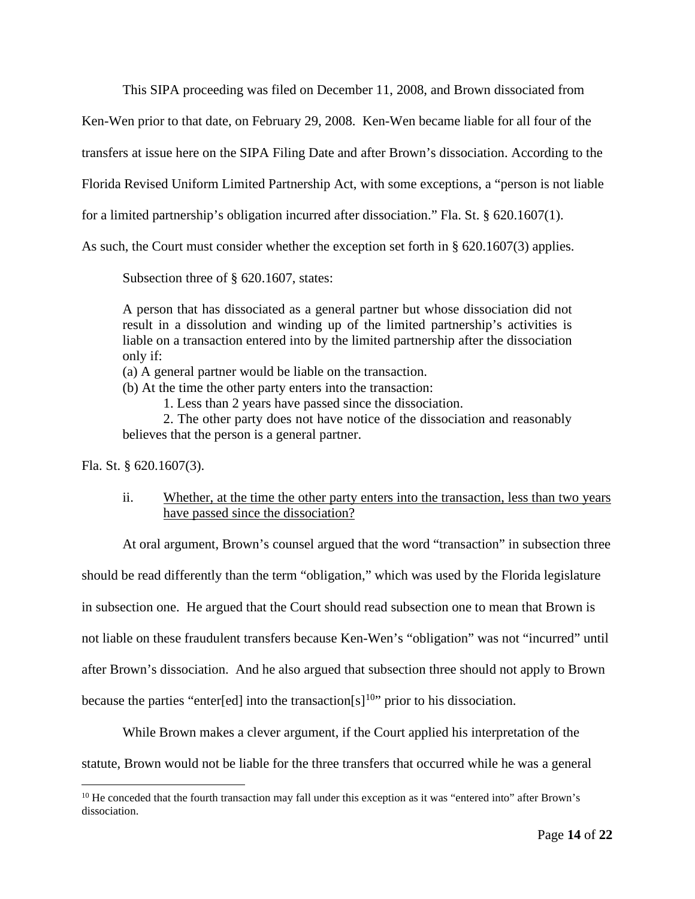This SIPA proceeding was filed on December 11, 2008, and Brown dissociated from

Ken-Wen prior to that date, on February 29, 2008. Ken-Wen became liable for all four of the

transfers at issue here on the SIPA Filing Date and after Brown's dissociation. According to the

Florida Revised Uniform Limited Partnership Act, with some exceptions, a "person is not liable

for a limited partnership's obligation incurred after dissociation." Fla. St. § 620.1607(1).

As such, the Court must consider whether the exception set forth in § 620.1607(3) applies.

Subsection three of § 620.1607, states:

A person that has dissociated as a general partner but whose dissociation did not result in a dissolution and winding up of the limited partnership's activities is liable on a transaction entered into by the limited partnership after the dissociation only if:

(a) A general partner would be liable on the transaction.

(b) At the time the other party enters into the transaction:

1. Less than 2 years have passed since the dissociation.

2. The other party does not have notice of the dissociation and reasonably believes that the person is a general partner.

Fla. St. § 620.1607(3).

ii. Whether, at the time the other party enters into the transaction, less than two years have passed since the dissociation?

At oral argument, Brown's counsel argued that the word "transaction" in subsection three

should be read differently than the term "obligation," which was used by the Florida legislature

in subsection one. He argued that the Court should read subsection one to mean that Brown is

not liable on these fraudulent transfers because Ken-Wen's "obligation" was not "incurred" until

after Brown's dissociation. And he also argued that subsection three should not apply to Brown

because the parties "enter[ed] into the transaction[s]<sup>[10](#page-13-0)</sup>" prior to his dissociation.

While Brown makes a clever argument, if the Court applied his interpretation of the

statute, Brown would not be liable for the three transfers that occurred while he was a general

<span id="page-13-0"></span><sup>&</sup>lt;sup>10</sup> He conceded that the fourth transaction may fall under this exception as it was "entered into" after Brown's dissociation.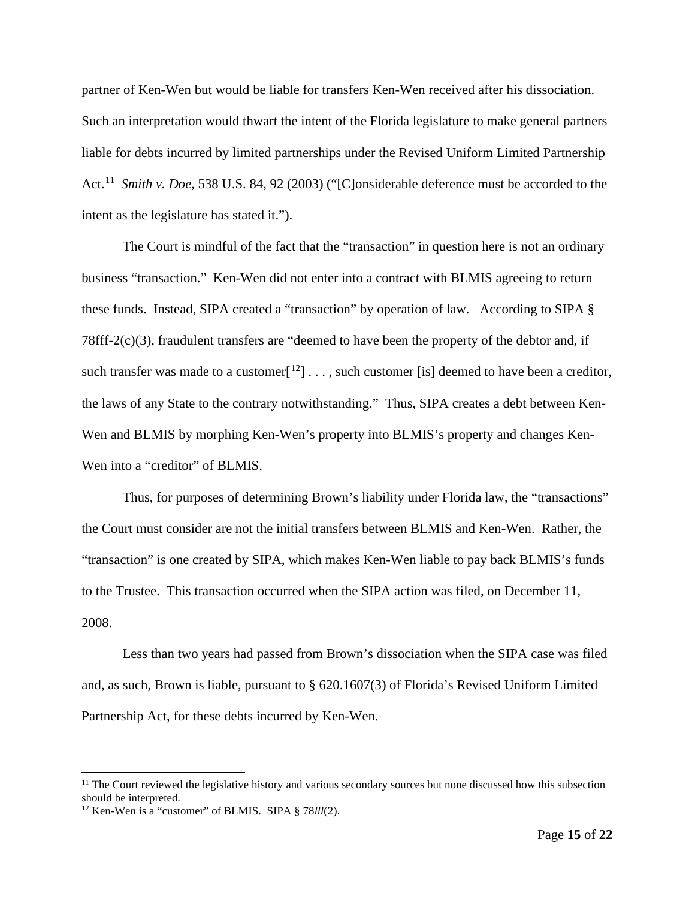partner of Ken-Wen but would be liable for transfers Ken-Wen received after his dissociation. Such an interpretation would thwart the intent of the Florida legislature to make general partners liable for debts incurred by limited partnerships under the Revised Uniform Limited Partnership Act. [11](#page-14-0) *Smith v. Doe*, 538 U.S. 84, 92 (2003) ("[C]onsiderable deference must be accorded to the intent as the legislature has stated it.").

The Court is mindful of the fact that the "transaction" in question here is not an ordinary business "transaction." Ken-Wen did not enter into a contract with BLMIS agreeing to return these funds. Instead, SIPA created a "transaction" by operation of law. According to SIPA § 78fff-2(c)(3), fraudulent transfers are "deemed to have been the property of the debtor and, if such transfer was made to a customer<sup>[12</sup>] . . . , such customer [is] deemed to have been a creditor, the laws of any State to the contrary notwithstanding." Thus, SIPA creates a debt between Ken-Wen and BLMIS by morphing Ken-Wen's property into BLMIS's property and changes Ken-Wen into a "creditor" of BLMIS.

Thus, for purposes of determining Brown's liability under Florida law, the "transactions" the Court must consider are not the initial transfers between BLMIS and Ken-Wen. Rather, the "transaction" is one created by SIPA, which makes Ken-Wen liable to pay back BLMIS's funds to the Trustee. This transaction occurred when the SIPA action was filed, on December 11, 2008.

Less than two years had passed from Brown's dissociation when the SIPA case was filed and, as such, Brown is liable, pursuant to § 620.1607(3) of Florida's Revised Uniform Limited Partnership Act, for these debts incurred by Ken-Wen.

<span id="page-14-0"></span> $<sup>11</sup>$  The Court reviewed the legislative history and various secondary sources but none discussed how this subsection</sup> should be interpreted.

<span id="page-14-1"></span><sup>12</sup> Ken-Wen is a "customer" of BLMIS. SIPA § 78*lll*(2).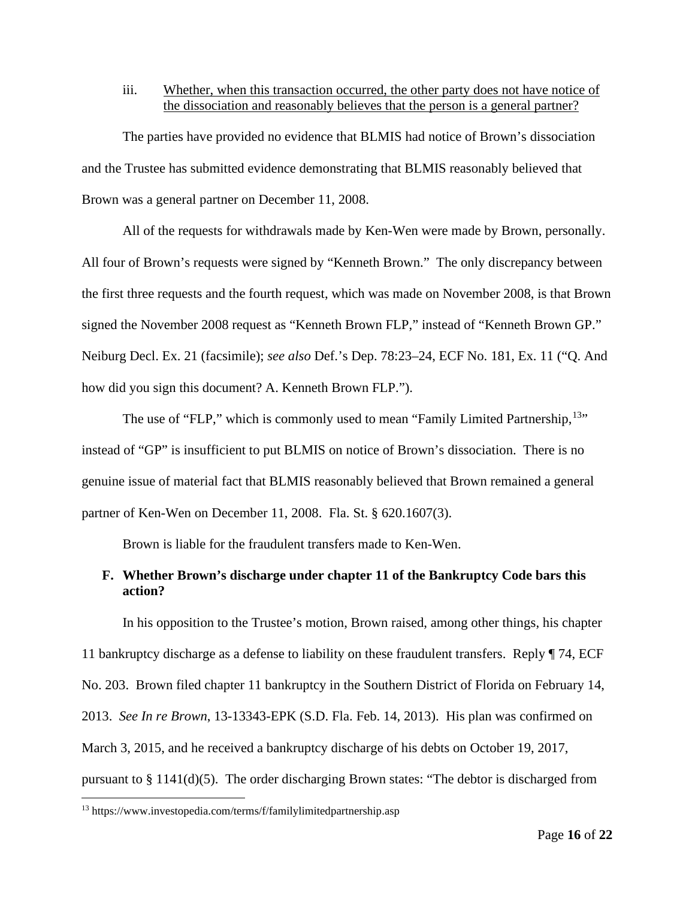### iii. Whether, when this transaction occurred, the other party does not have notice of the dissociation and reasonably believes that the person is a general partner?

The parties have provided no evidence that BLMIS had notice of Brown's dissociation and the Trustee has submitted evidence demonstrating that BLMIS reasonably believed that Brown was a general partner on December 11, 2008.

All of the requests for withdrawals made by Ken-Wen were made by Brown, personally. All four of Brown's requests were signed by "Kenneth Brown." The only discrepancy between the first three requests and the fourth request, which was made on November 2008, is that Brown signed the November 2008 request as "Kenneth Brown FLP," instead of "Kenneth Brown GP." Neiburg Decl. Ex. 21 (facsimile); *see also* Def.'s Dep. 78:23–24, ECF No. 181, Ex. 11 ("Q. And how did you sign this document? A. Kenneth Brown FLP.").

The use of "FLP," which is commonly used to mean "Family Limited Partnership,  $13"$ instead of "GP" is insufficient to put BLMIS on notice of Brown's dissociation. There is no genuine issue of material fact that BLMIS reasonably believed that Brown remained a general partner of Ken-Wen on December 11, 2008. Fla. St. § 620.1607(3).

Brown is liable for the fraudulent transfers made to Ken-Wen.

## **F. Whether Brown's discharge under chapter 11 of the Bankruptcy Code bars this action?**

In his opposition to the Trustee's motion, Brown raised, among other things, his chapter 11 bankruptcy discharge as a defense to liability on these fraudulent transfers. Reply ¶ 74, ECF No. 203. Brown filed chapter 11 bankruptcy in the Southern District of Florida on February 14, 2013. *See In re Brown*, 13-13343-EPK (S.D. Fla. Feb. 14, 2013). His plan was confirmed on March 3, 2015, and he received a bankruptcy discharge of his debts on October 19, 2017, pursuant to § 1141(d)(5). The order discharging Brown states: "The debtor is discharged from

<span id="page-15-0"></span><sup>13</sup> https://www.investopedia.com/terms/f/familylimitedpartnership.asp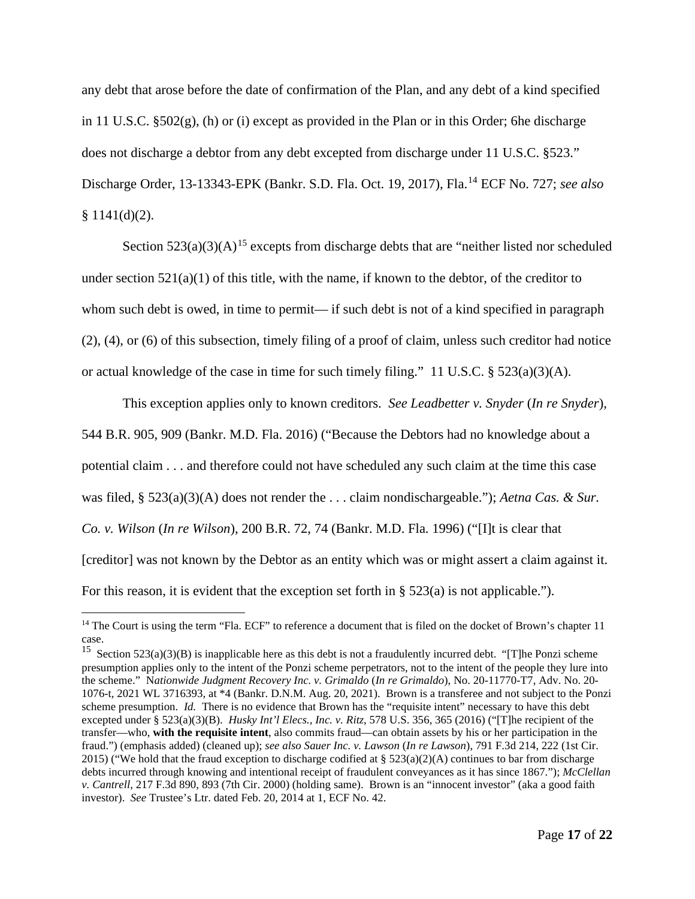any debt that arose before the date of confirmation of the Plan, and any debt of a kind specified in 11 U.S.C. §502(g), (h) or (i) except as provided in the Plan or in this Order; 6he discharge does not discharge a debtor from any debt excepted from discharge under 11 U.S.C. §523." Discharge Order, 13-13343-EPK (Bankr. S.D. Fla. Oct. 19, 2017), Fla.[14](#page-16-0) ECF No. 727; *see also*  $§ 1141(d)(2).$ 

Section  $523(a)(3)(A)^{15}$  $523(a)(3)(A)^{15}$  $523(a)(3)(A)^{15}$  excepts from discharge debts that are "neither listed nor scheduled under section  $521(a)(1)$  of this title, with the name, if known to the debtor, of the creditor to whom such debt is owed, in time to permit— if such debt is not of a kind specified in paragraph (2), (4), or (6) of this subsection, timely filing of a proof of claim, unless such creditor had notice or actual knowledge of the case in time for such timely filing." 11 U.S.C. § 523(a)(3)(A).

This exception applies only to known creditors. *See Leadbetter v. Snyder* (*In re Snyder*), 544 B.R. 905, 909 (Bankr. M.D. Fla. 2016) ("Because the Debtors had no knowledge about a potential claim . . . and therefore could not have scheduled any such claim at the time this case was filed, § 523(a)(3)(A) does not render the . . . claim nondischargeable."); *Aetna Cas. & Sur. Co. v. Wilson* (*In re Wilson*), 200 B.R. 72, 74 (Bankr. M.D. Fla. 1996) ("[I]t is clear that [creditor] was not known by the Debtor as an entity which was or might assert a claim against it. For this reason, it is evident that the exception set forth in § 523(a) is not applicable.").

<span id="page-16-0"></span><sup>&</sup>lt;sup>14</sup> The Court is using the term "Fla. ECF" to reference a document that is filed on the docket of Brown's chapter 11

<span id="page-16-1"></span>case.<br><sup>15</sup> Section 523(a)(3)(B) is inapplicable here as this debt is not a fraudulently incurred debt. "[T]he Ponzi scheme presumption applies only to the intent of the Ponzi scheme perpetrators, not to the intent of the people they lure into the scheme." N*ationwide Judgment Recovery Inc. v. Grimaldo* (*In re Grimaldo*), No. 20-11770-T7, Adv. No. 20- 1076-t, 2021 WL 3716393, at \*4 (Bankr. D.N.M. Aug. 20, 2021). Brown is a transferee and not subject to the Ponzi scheme presumption. *Id.* There is no evidence that Brown has the "requisite intent" necessary to have this debt excepted under § 523(a)(3)(B). *Husky Int'l Elecs., Inc. v. Ritz*, 578 U.S. 356, 365 (2016) ("[T]he recipient of the transfer—who, **with the requisite intent**, also commits fraud—can obtain assets by his or her participation in the fraud.") (emphasis added) (cleaned up); *see also Sauer Inc. v. Lawson* (*In re Lawson*), 791 F.3d 214, 222 (1st Cir. 2015) ("We hold that the fraud exception to discharge codified at § 523(a)(2)(A) continues to bar from discharge debts incurred through knowing and intentional receipt of fraudulent conveyances as it has since 1867."); *McClellan v. Cantrell*, 217 F.3d 890, 893 (7th Cir. 2000) (holding same). Brown is an "innocent investor" (aka a good faith investor). *See* Trustee's Ltr. dated Feb. 20, 2014 at 1, ECF No. 42.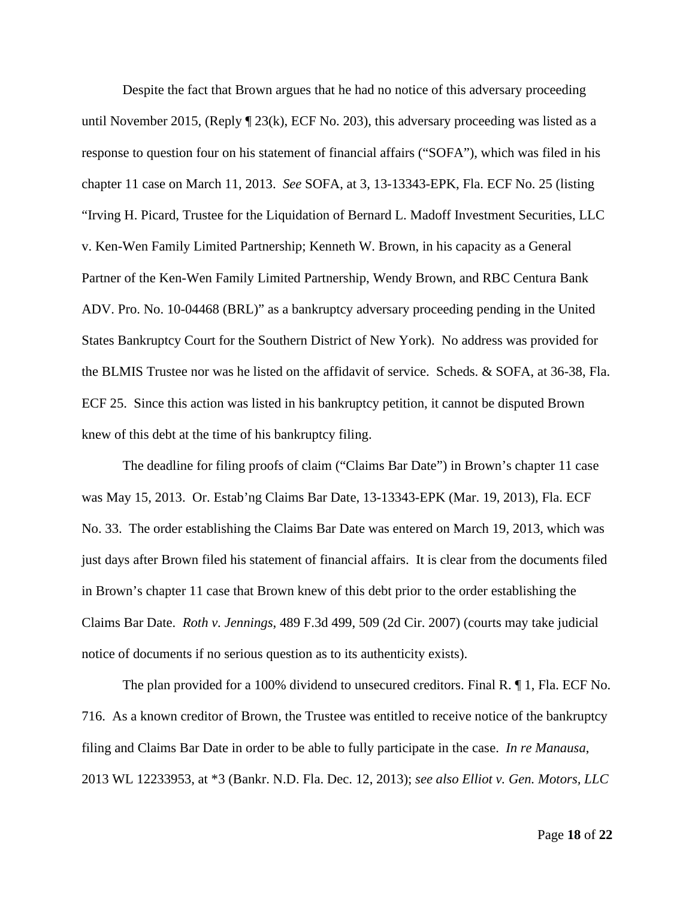Despite the fact that Brown argues that he had no notice of this adversary proceeding until November 2015, (Reply  $\P$  23(k), ECF No. 203), this adversary proceeding was listed as a response to question four on his statement of financial affairs ("SOFA"), which was filed in his chapter 11 case on March 11, 2013. *See* SOFA, at 3, 13-13343-EPK, Fla. ECF No. 25 (listing "Irving H. Picard, Trustee for the Liquidation of Bernard L. Madoff Investment Securities, LLC v. Ken-Wen Family Limited Partnership; Kenneth W. Brown, in his capacity as a General Partner of the Ken-Wen Family Limited Partnership, Wendy Brown, and RBC Centura Bank ADV. Pro. No. 10-04468 (BRL)" as a bankruptcy adversary proceeding pending in the United States Bankruptcy Court for the Southern District of New York). No address was provided for the BLMIS Trustee nor was he listed on the affidavit of service. Scheds. & SOFA, at 36-38, Fla. ECF 25. Since this action was listed in his bankruptcy petition, it cannot be disputed Brown knew of this debt at the time of his bankruptcy filing.

The deadline for filing proofs of claim ("Claims Bar Date") in Brown's chapter 11 case was May 15, 2013. Or. Estab'ng Claims Bar Date, 13-13343-EPK (Mar. 19, 2013), Fla. ECF No. 33. The order establishing the Claims Bar Date was entered on March 19, 2013, which was just days after Brown filed his statement of financial affairs. It is clear from the documents filed in Brown's chapter 11 case that Brown knew of this debt prior to the order establishing the Claims Bar Date. *Roth v. Jennings*, 489 F.3d 499, 509 (2d Cir. 2007) (courts may take judicial notice of documents if no serious question as to its authenticity exists).

The plan provided for a 100% dividend to unsecured creditors. Final R. ¶ 1, Fla. ECF No. 716. As a known creditor of Brown, the Trustee was entitled to receive notice of the bankruptcy filing and Claims Bar Date in order to be able to fully participate in the case. *In re Manausa*, 2013 WL 12233953, at \*3 (Bankr. N.D. Fla. Dec. 12, 2013); *see also Elliot v. Gen. Motors, LLC*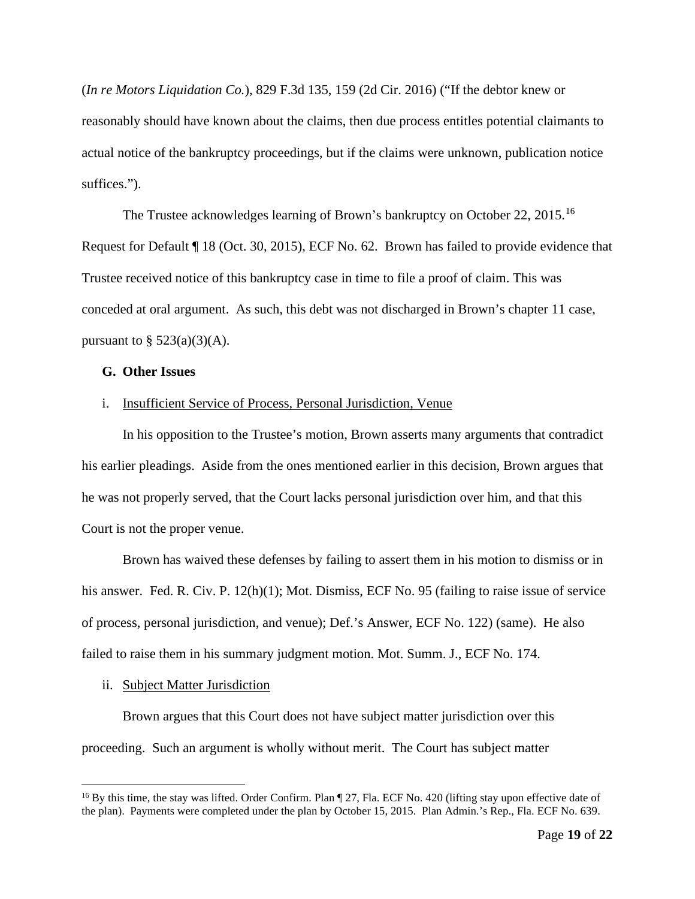(*In re Motors Liquidation Co.*), 829 F.3d 135, 159 (2d Cir. 2016) ("If the debtor knew or reasonably should have known about the claims, then due process entitles potential claimants to actual notice of the bankruptcy proceedings, but if the claims were unknown, publication notice suffices.").

The Trustee acknowledges learning of Brown's bankruptcy on October 22, 2015.<sup>16</sup> Request for Default ¶ 18 (Oct. 30, 2015), ECF No. 62. Brown has failed to provide evidence that Trustee received notice of this bankruptcy case in time to file a proof of claim. This was conceded at oral argument. As such, this debt was not discharged in Brown's chapter 11 case, pursuant to  $\S$  523(a)(3)(A).

#### **G. Other Issues**

#### i. Insufficient Service of Process, Personal Jurisdiction, Venue

In his opposition to the Trustee's motion, Brown asserts many arguments that contradict his earlier pleadings. Aside from the ones mentioned earlier in this decision, Brown argues that he was not properly served, that the Court lacks personal jurisdiction over him, and that this Court is not the proper venue.

Brown has waived these defenses by failing to assert them in his motion to dismiss or in his answer. Fed. R. Civ. P. 12(h)(1); Mot. Dismiss, ECF No. 95 (failing to raise issue of service of process, personal jurisdiction, and venue); Def.'s Answer, ECF No. 122) (same). He also failed to raise them in his summary judgment motion. Mot. Summ. J., ECF No. 174.

#### ii. Subject Matter Jurisdiction

Brown argues that this Court does not have subject matter jurisdiction over this proceeding. Such an argument is wholly without merit. The Court has subject matter

<span id="page-18-0"></span><sup>&</sup>lt;sup>16</sup> By this time, the stay was lifted. Order Confirm. Plan ¶ 27, Fla. ECF No. 420 (lifting stay upon effective date of the plan). Payments were completed under the plan by October 15, 2015. Plan Admin.'s Rep., Fla. ECF No. 639.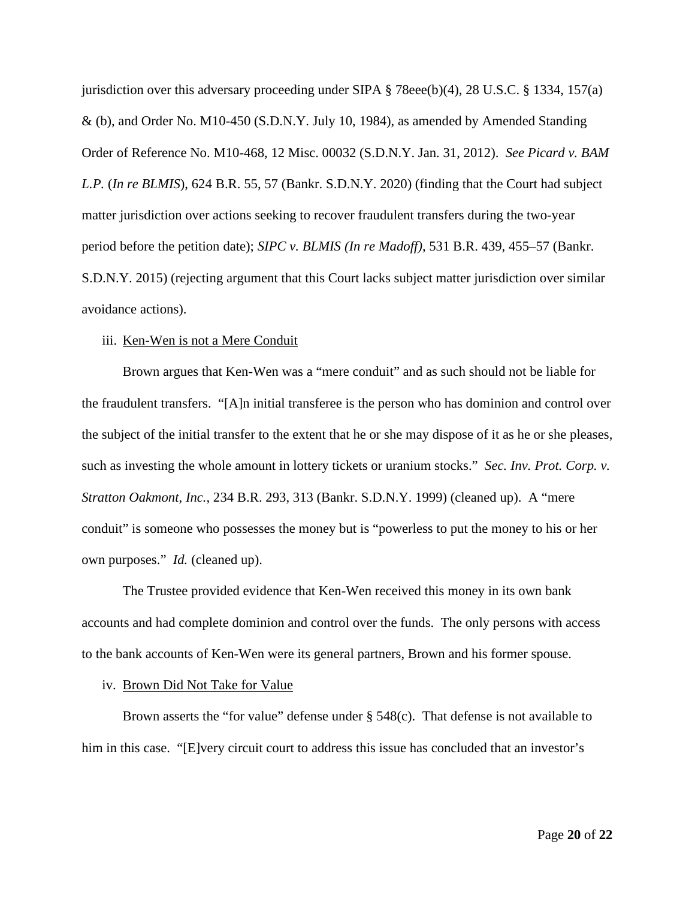jurisdiction over this adversary proceeding under SIPA § 78eee(b)(4), 28 U.S.C. § 1334, 157(a) & (b), and Order No. M10-450 (S.D.N.Y. July 10, 1984), as amended by Amended Standing Order of Reference No. M10-468, 12 Misc. 00032 (S.D.N.Y. Jan. 31, 2012). *See Picard v. BAM L.P.* (*In re BLMIS*), 624 B.R. 55, 57 (Bankr. S.D.N.Y. 2020) (finding that the Court had subject matter jurisdiction over actions seeking to recover fraudulent transfers during the two-year period before the petition date); *SIPC v. BLMIS (In re Madoff)*, 531 B.R. 439, 455–57 (Bankr. S.D.N.Y. 2015) (rejecting argument that this Court lacks subject matter jurisdiction over similar avoidance actions).

#### iii. Ken-Wen is not a Mere Conduit

Brown argues that Ken-Wen was a "mere conduit" and as such should not be liable for the fraudulent transfers. "[A]n initial transferee is the person who has dominion and control over the subject of the initial transfer to the extent that he or she may dispose of it as he or she pleases, such as investing the whole amount in lottery tickets or uranium stocks." *Sec. Inv. Prot. Corp. v. Stratton Oakmont, Inc.*, 234 B.R. 293, 313 (Bankr. S.D.N.Y. 1999) (cleaned up). A "mere conduit" is someone who possesses the money but is "powerless to put the money to his or her own purposes." *Id.* (cleaned up).

The Trustee provided evidence that Ken-Wen received this money in its own bank accounts and had complete dominion and control over the funds. The only persons with access to the bank accounts of Ken-Wen were its general partners, Brown and his former spouse.

#### iv. Brown Did Not Take for Value

Brown asserts the "for value" defense under  $\S$  548(c). That defense is not available to him in this case. "[E]very circuit court to address this issue has concluded that an investor's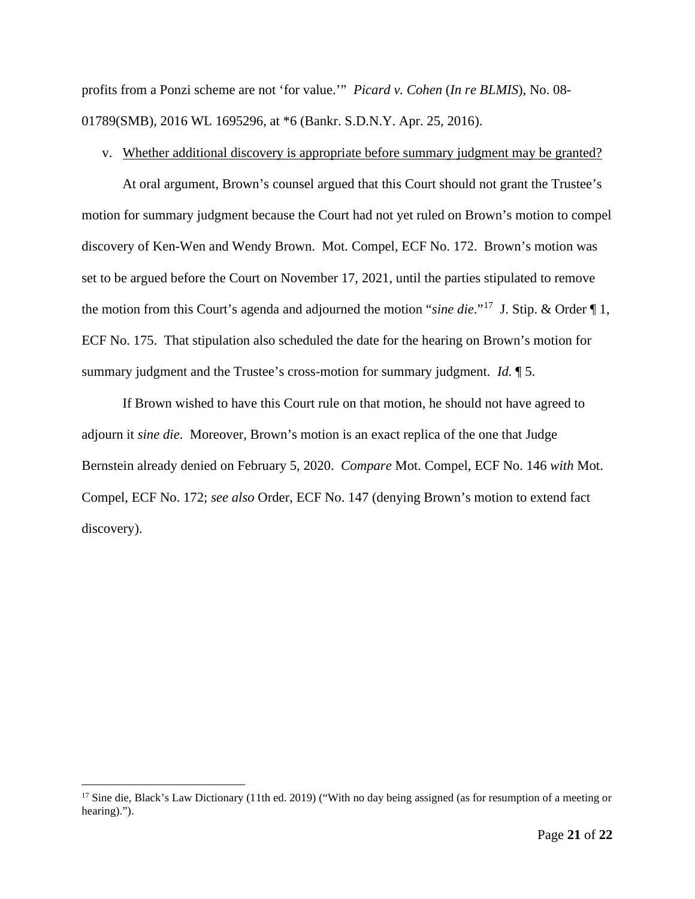profits from a Ponzi scheme are not 'for value.'" *Picard v. Cohen* (*In re BLMIS*), No. 08- 01789(SMB), 2016 WL 1695296, at \*6 (Bankr. S.D.N.Y. Apr. 25, 2016).

## v. Whether additional discovery is appropriate before summary judgment may be granted?

At oral argument, Brown's counsel argued that this Court should not grant the Trustee's motion for summary judgment because the Court had not yet ruled on Brown's motion to compel discovery of Ken-Wen and Wendy Brown. Mot. Compel, ECF No. 172. Brown's motion was set to be argued before the Court on November 17, 2021, until the parties stipulated to remove the motion from this Court's agenda and adjourned the motion "*sine die*."[17](#page-20-0) J. Stip. & Order ¶ 1, ECF No. 175. That stipulation also scheduled the date for the hearing on Brown's motion for summary judgment and the Trustee's cross-motion for summary judgment. *Id.* ¶ 5.

If Brown wished to have this Court rule on that motion, he should not have agreed to adjourn it *sine die*. Moreover, Brown's motion is an exact replica of the one that Judge Bernstein already denied on February 5, 2020. *Compare* Mot. Compel, ECF No. 146 *with* Mot. Compel, ECF No. 172; *see also* Order, ECF No. 147 (denying Brown's motion to extend fact discovery).

<span id="page-20-0"></span><sup>&</sup>lt;sup>17</sup> Sine die, Black's Law Dictionary (11th ed. 2019) ("With no day being assigned (as for resumption of a meeting or hearing).").